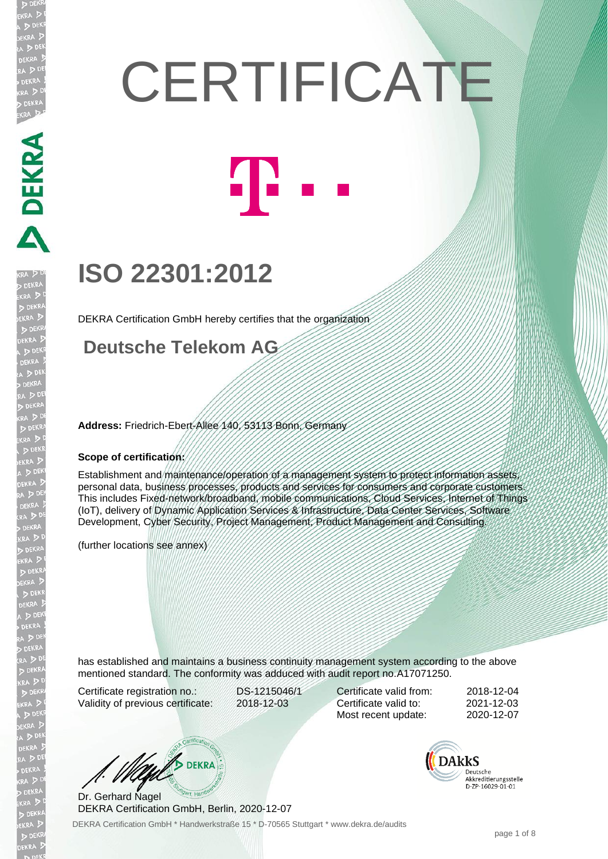# **CERTIFICATE** 41 -

## **ISO 22301:2012**

DEKRA Certification GmbH hereby certifies that the organization

#### **Deutsche Telekom AG**

**Address:** Friedrich-Ebert-Allee 140, 53113 Bonn, Germany

#### **Scope of certification:**

Establishment and maintenance/operation of a management system to protect information assets, personal data, business processes, products and services for consumers and corporate customers. This includes Fixed-network/broadband, mobile communications, Cloud Services, Internet of Things (IoT), delivery of Dynamic Application Services & Infrastructure, Data Center Services, Software Development, Cyber Security, Project Management, Product Management and Consulting.

(further locations see annex)

has established and maintains a business continuity management system according to the above mentioned standard. The conformity was adduced with audit report no.A17071250.

Certificate registration no.: DS-1215046/1<br>Validity of previous certificate: 2018-12-03 Validity of previous certificate:

Certificate valid from: 2018-12-04 Certificate valid to: 2021-12-03 Most recent update: 2020-12-07



DEKRA Certification GmbH \* Handwerkstraße 15 \* D-70565 Stuttgart \* www.dekra.de/audits Dr. Gerhard Nagel DEKRA Certification GmbH, Berlin, 2020-12-07

**DAkkS** Deutsche akkreditierungsstelle D-ZP-16029-01-01

**JEKRA** 

DEKRA DEKRA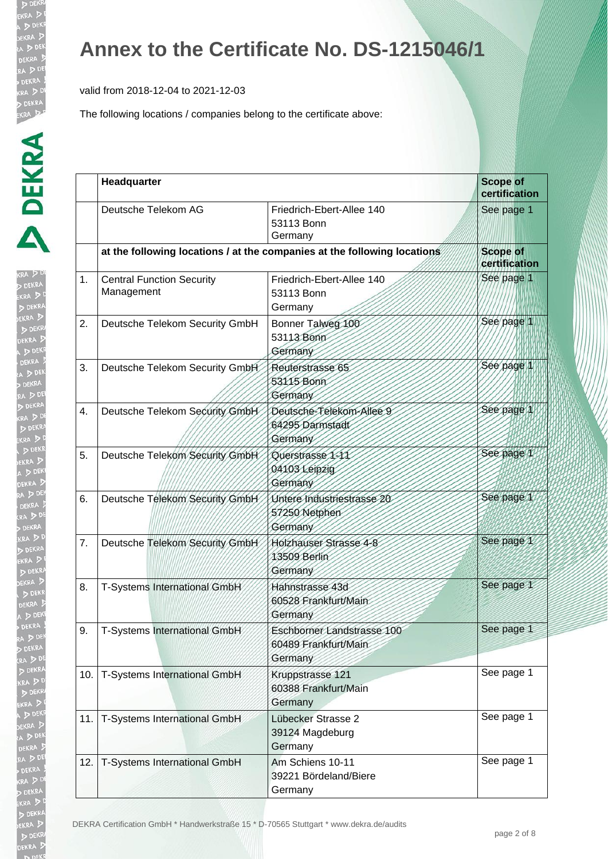valid from 2018-12-04 to 2021-12-03

| b)<br><b>CRA</b> |
|------------------|
|                  |
| 4                |
| j                |
| ١                |
|                  |
| ١                |
|                  |
| i                |
| į                |
|                  |
|                  |
|                  |
|                  |
|                  |
|                  |
|                  |
| ļ                |
| j.               |
|                  |
| KR<br>J          |
|                  |
|                  |
|                  |
| Ç                |
|                  |
| P                |
|                  |
|                  |
|                  |
|                  |
|                  |
|                  |
| 5                |
|                  |
|                  |
|                  |
|                  |
|                  |
|                  |
|                  |
|                  |
|                  |
|                  |
|                  |
|                  |
|                  |
|                  |
|                  |
|                  |
|                  |
|                  |
|                  |
|                  |

|     | Headquarter                                    |                                                                          | <b>Scope of</b><br>certification |
|-----|------------------------------------------------|--------------------------------------------------------------------------|----------------------------------|
|     | Deutsche Telekom AG                            | Friedrich-Ebert-Allee 140<br>53113 Bonn<br>Germany                       | See page 1                       |
|     |                                                | at the following locations / at the companies at the following locations | <b>Scope of</b><br>certification |
| 1.  | <b>Central Function Security</b><br>Management | Friedrich-Ebert-Allee 140<br>53113 Bonn<br>Germany                       | See page 1                       |
| 2.  | Deutsche Telekom Security GmbH                 | Bonner Talweg 100<br>53113 Bonn<br>Germany                               | See page 1                       |
| 3.  | Deutsche Telekom Security GmbH                 | Reuterstrasse 65<br>53115 Bonn<br>Germany                                | Sée page 1                       |
| 4.  | Deutsche Telekom Security GmbH                 | Deutsche-Telekom-Allee 9<br>64295 Darmstadt<br>Germany                   | See page 1                       |
| 5.  | Deutsche Telekom Security GmbH                 | Querstrasse 1-11<br>04103 Leipzig<br>Germany                             | See page 1                       |
| 6.  | Deutsche Telekom Security GmbH                 | Untere Industriestrasse 20<br>57250 Netphen<br>Germany                   | See page 1                       |
| 7.  | Deutsche Telekom Security GmbH                 | Holzhauser Strasse 4-8<br>13509 Berlin<br>Germany                        | See page 1                       |
| 8.  | T-Systems International GmbH                   | Hahnstrasse 43d<br>60528 Frankfurt/Main<br>Germany                       | See page 1                       |
| 9.  | T-Systems International GmbH                   | Eschborner Landstrasse 100<br>60489 Frankfurt/Main<br>Germany            | See page 1                       |
| 10. | T-Systems International GmbH                   | Kruppstrasse 121<br>60388 Frankfurt/Main<br>Germany                      | See page 1                       |
| 11. | T-Systems International GmbH                   | Lübecker Strasse 2<br>39124 Magdeburg<br>Germany                         | See page 1                       |
| 12. | T-Systems International GmbH                   | Am Schiens 10-11<br>39221 Bördeland/Biere<br>Germany                     | See page 1                       |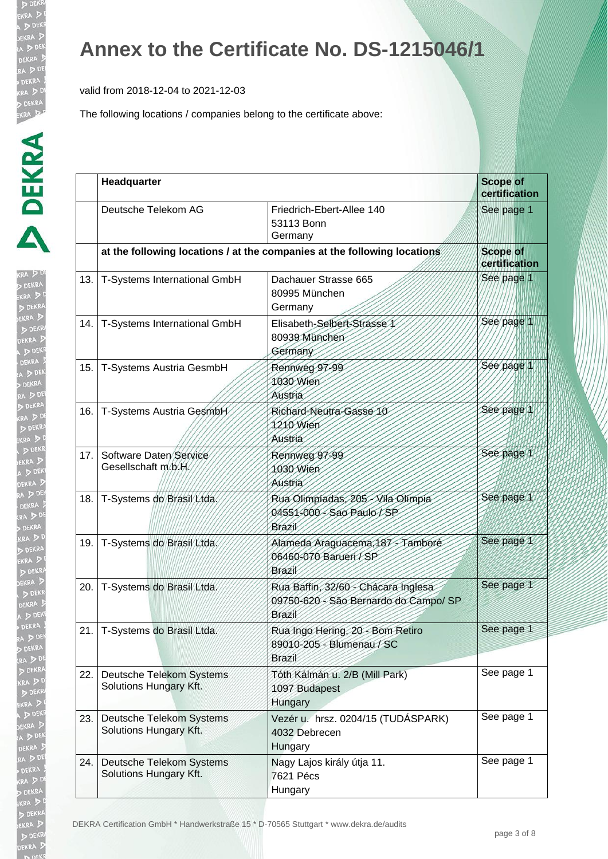valid from 2018-12-04 to 2021-12-03

| I.<br>(RA)                   |
|------------------------------|
|                              |
| Ì                            |
|                              |
|                              |
| ÿ                            |
|                              |
|                              |
| $\frac{1}{2}$                |
| I<br>j                       |
|                              |
| j<br>$\frac{1}{2}$           |
| ļ                            |
| į                            |
|                              |
|                              |
|                              |
| $\ddot{\phantom{a}}$         |
| <b>XXXX</b><br>$\frac{1}{2}$ |
|                              |
| $\frac{1}{2}$                |
|                              |
|                              |
|                              |
| ĺ                            |
| ì                            |
|                              |
|                              |
|                              |
|                              |
| ŀ                            |
|                              |
|                              |
|                              |
|                              |
|                              |
|                              |
|                              |
|                              |
|                              |
|                              |
|                              |
|                              |
|                              |
|                              |
|                              |
|                              |
|                              |
|                              |
|                              |
|                              |
|                              |
|                              |
|                              |

|     | Headquarter                                        |                                                                                        | <b>Scope of</b><br>certification |
|-----|----------------------------------------------------|----------------------------------------------------------------------------------------|----------------------------------|
|     | Deutsche Telekom AG                                | Friedrich-Ebert-Allee 140<br>53113 Bonn<br>Germany                                     | See page 1                       |
|     |                                                    | at the following locations / at the companies at the following locations               | <b>Scope of</b><br>certification |
| 13. | T-Systems International GmbH                       | Dachauer Strasse 665<br>80995 München<br>Germany                                       | See page 1                       |
| 14. | T-Systems International GmbH                       | Elisabeth-Selbert-Strasse 1<br>80939 München<br>Germany                                | See page 1                       |
| 15. | T-Systems Austria GesmbH                           | Rennweg 97-99<br>1030 Wien<br>Austria                                                  | Sée page 1                       |
| 16. | T-Systems Austria GesmbH                           | Richard-Neutra-Gasse 10<br>1210 Wien<br>Austria                                        | See page 1                       |
| 17. | Software Daten Service<br>Gesellschaft m/b/H/      | Rennweg 97-99<br>1030 Wien<br>Austria                                                  | See page 1                       |
| 18. | T-Systems do Brasil / Ltda.                        | Rua Olimpiadas, 205 - Vila Olimpia<br>04551-000 - Sao Paulo / SP<br>Brazil             | See page 1                       |
| 19. | T-Systems do Brasil Ltda.                          | Alameda Araguacema, 187 - Tambore<br>06460-070 Barueri / SP<br>Brazil                  | See page 1                       |
| 20. | T-Systems do Brasil Ltda.                          | Rua Baffin, 32/60 - Chácara Inglesa<br>09750-620 - São Bernardo do Campo/ SP<br>Brazil | See page 1                       |
| 21. | T-Systems do Brasil Ltda.                          | Rua Ingo Hering, 20 - Bom Retiro<br>89010-205 - Blumenau / SC<br><b>Brazil</b>         | See page 1                       |
| 22. | Deutsche Telekom Systems<br>Solutions Hungary Kft. | Tóth Kálmán u. 2/B (Mill Park)<br>1097 Budapest<br>Hungary                             | See page 1                       |
| 23. | Deutsche Telekom Systems<br>Solutions Hungary Kft. | Vezér u. hrsz. 0204/15 (TUDÁSPARK)<br>4032 Debrecen<br>Hungary                         | See page 1                       |
| 24. | Deutsche Telekom Systems<br>Solutions Hungary Kft. | Nagy Lajos király útja 11.<br>7621 Pécs<br>Hungary                                     | See page 1                       |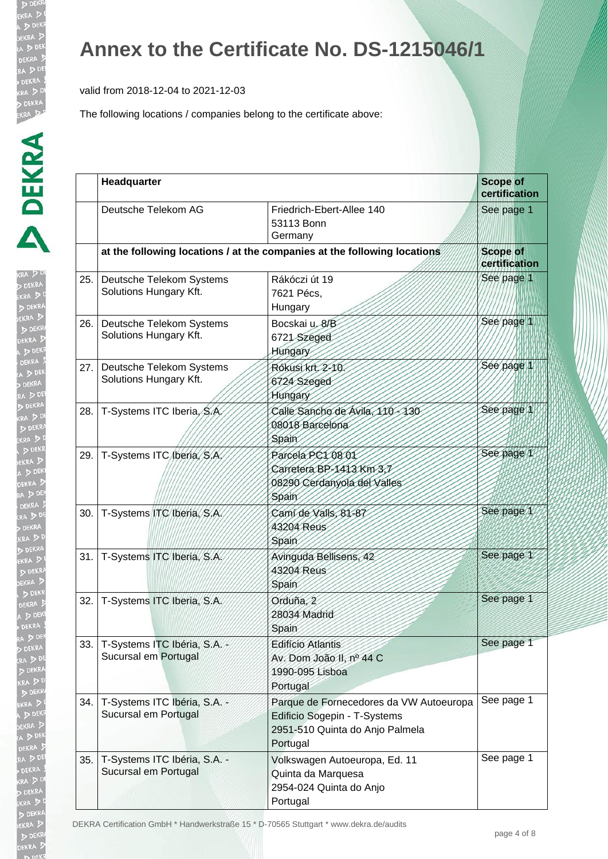valid from 2018-12-04 to 2021-12-03

The following locations / companies belong to the certificate above:

| ť                        |
|--------------------------|
| Þ                        |
| ļ.<br>j<br>$\frac{1}{3}$ |
|                          |
| ļ<br>j                   |
| $\frac{1}{2}$            |
| ļ<br>l                   |
| ſ.<br>I                  |
| いいりょう<br>١               |
|                          |
|                          |
|                          |
|                          |
|                          |
|                          |
|                          |

|      | Headquarter                                            |                                                                                                                        | <b>Scope of</b><br>certification |
|------|--------------------------------------------------------|------------------------------------------------------------------------------------------------------------------------|----------------------------------|
|      | Deutsche Telekom AG                                    | Friedrich-Ebert-Allee 140<br>53113 Bonn<br>Germany                                                                     | See page 1                       |
|      |                                                        | at the following locations / at the companies at the following locations                                               | <b>Scope of</b><br>certification |
| 25.  | Deutsche Telekom Systems<br>Solutions Hungary Kft.     | Rákóczi út 19<br>7621 Pécs,<br>Hungary                                                                                 | See page 1                       |
| 26.1 | Deutsche Telekom Systems<br>Solutions Hungary Kft.     | Bocskai u. 8/B<br>6721 Szeged<br>Hungary                                                                               | See page 1                       |
|      | 27. Deutsche Telekom Systems<br>Solutions Hungary Kft. | Rókusi krt. 2-10.<br>6724 Szeged<br>Hungary                                                                            | Sée page 1                       |
| 28.  | T-Systems ITC Iberia, S.A.                             | Calle Sancho de Avila, 110-130<br>08018 Barcelona<br>Spain                                                             | See page 1                       |
| 29.  | T-Systems ITC (beria, S.A.                             | Parcela PC1 08 01<br>Carretera BP-1413 Km 3,7<br>08290 Cerdanyola del Valles<br>Spain                                  | See page 1                       |
| 30.  | T-Systems ITC Iberia, S.A.                             | Cami de Valls, 81-87<br>43204 Reus<br>Spain                                                                            | See page 1                       |
| 31.1 | T-Systems ITC Iberia, S.A.                             | Avinguda Bellisens, 42<br>43204 Reus<br>Spain                                                                          | See page 1                       |
| 32.  | T-Systems ITC Iberia, S.A.                             | Orduña, 2<br>28034 Madrid<br>Spain                                                                                     | See page 1                       |
| 33.  | T-Systems ITC Ibéria, S.A.<br>Sucursal em Portugal     | <b>Edifício Atlantis</b><br>Av. Dom João II, nº 44 C<br>1990-095 Lisboa<br>Portugal                                    | See page 1                       |
| 34.  | T-Systems ITC Ibéria, S.A. -<br>Sucursal em Portugal   | Parque de Fornecedores da VW Autoeuropa<br>Edificio Sogepin - T-Systems<br>2951-510 Quinta do Anjo Palmela<br>Portugal | See page 1                       |
| 35.  | T-Systems ITC Ibéria, S.A. -<br>Sucursal em Portugal   | Volkswagen Autoeuropa, Ed. 11<br>Quinta da Marquesa<br>2954-024 Quinta do Anjo<br>Portugal                             | See page 1                       |

DEKRA Certification GmbH \* Handwerkstraße 15 \* D-70565 Stuttgart \* www.dekra.de/audits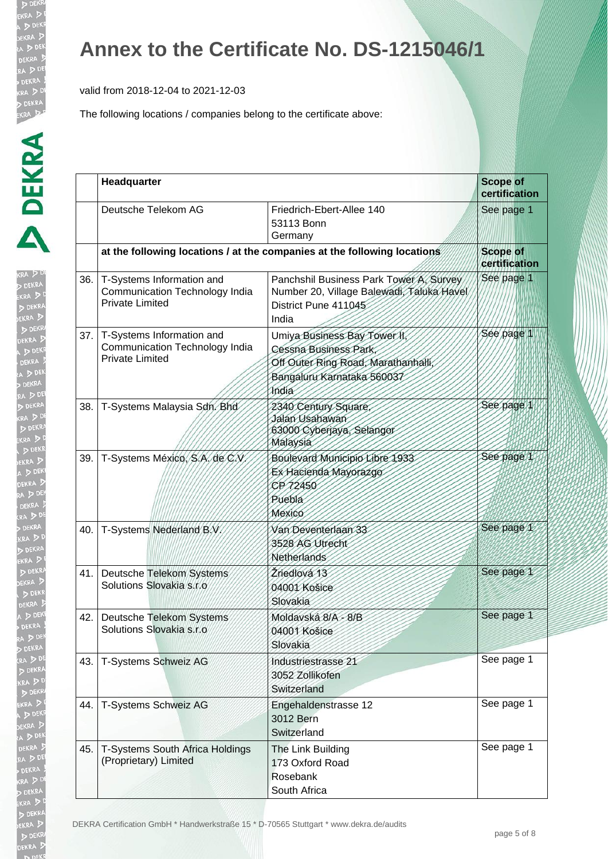valid from 2018-12-04 to 2021-12-03

| Ъ                                                                                           |     | Deut                   |
|---------------------------------------------------------------------------------------------|-----|------------------------|
|                                                                                             |     | at th                  |
| KRA DDI<br><b>DEKRA</b><br>ekra D <sup>e</sup><br>D DEKRA<br>DEKRA D                        | 36. | T-Sy<br>Com<br>Priva   |
| DEKR<br>DEKRA 5<br>A D DEKI<br>DEKRA<br>A D DEK                                             | 37. | $T-Sy$<br>Com<br>Priva |
| DEKRA<br>RA DE<br>D DEKRA<br>KRA DDE<br>D DEKRA                                             | 38. | $T-Sy$                 |
| EKRA DD<br>DEKR<br>EKRA D<br>A D DEKI<br>DEKRA D<br>RA D DEK                                | 39. | $T-Sy$                 |
| DEKRA 3<br>KRA DE<br>DEKRA<br>KRA DD<br>DEKRA                                               | 40. | $T-Sy$                 |
| EKRA DI<br>D DEKRA<br>DEKRA D<br>DEKR                                                       | 41. | Deut<br>Solu           |
| DEKRA D<br>A DEKI<br><b>DEKRA</b><br>RA D DEK<br>DEKRA                                      | 42. | Deut<br>Solu           |
| <b>RA</b> DE<br>D DEKRA<br>KRA D                                                            | 43. | T-Sy                   |
| DEKR<br>EKRA DI<br>A DEKI<br>DEKRA <sub>2</sub>                                             | 44. | T-Sy                   |
| CA D DEN<br>DEKRA 5<br>RA DE<br><b>DEKRA</b>                                                | 45. | $T-Sy$<br>(Pro         |
| KRA DD<br>DEKRA<br>EKRA D <sup>C</sup><br>D DEKRA<br>EKRA D<br>D DEKR<br>DEKRA <sup>J</sup> |     | <b>DEKRA Certif</b>    |

|      | Headquarter                                                                           |                                                                                                                                     | <b>Scope of</b><br>certification |
|------|---------------------------------------------------------------------------------------|-------------------------------------------------------------------------------------------------------------------------------------|----------------------------------|
|      | Deutsche Telekom AG                                                                   | Friedrich-Ebert-Allee 140<br>53113 Bonn<br>Germany                                                                                  | See page 1                       |
|      |                                                                                       | at the following locations / at the companies at the following locations                                                            | <b>Scope of</b><br>certification |
| 36.  | T-Systems Information and<br>Communication Technology India<br><b>Private Limited</b> | Panchshil Business Park Tower A, Survey<br>Number 20, Village Balewadi, Taluka Havel<br>District Pune 411045<br>India               | See page 1                       |
| 37.1 | T-Systems Information and<br>Communication Technology India<br><b>Private Limited</b> | Umiya Business Bay Tower II,<br>Cessna Business Park,<br>Off Outer Ring Road, Marathanhalli,<br>Bangaluru Karnataka 560037<br>India | See page 1                       |
| 38.  | T-Systems Malaysia Sdn. Bhd                                                           | 2340 Century Square<br>Jalan Usahawan<br>63000 Cyberjaya, Selangor<br>Malaysia                                                      | See page 1                       |
| 39.  | T-Systems México, S.A. de C.V.                                                        | Boulevard Municipio Libre 1933<br>Ex Hacienda Mayorazgo<br>CP 72450<br>Puebla<br>Mexico                                             | See page 1                       |
| 40.  | T-Systems Nederland B.V.                                                              | Van Deventerlaan 33<br>3528 AG Utrecht<br>Netherlands                                                                               | See page 1                       |
| 41.  | <b>Deutsche Telekom Systems</b><br>Solutions Slovakia s.r.o                           | Žriedlová 13<br>04001 Košice<br>Slovakia                                                                                            | See page 1                       |
| 42.  | Deutsche Telekom Systems<br>Solutions Slovakia s.r.o                                  | Moldavská 8/A - 8/B<br>04001 Košice<br>Slovakia                                                                                     | See page 1                       |
| 43.  | T-Systems Schweiz AG                                                                  | Industriestrasse 21<br>3052 Zollikofen<br>Switzerland                                                                               | See page 1                       |
| 44.  | T-Systems Schweiz AG                                                                  | Engehaldenstrasse 12<br>3012 Bern<br>Switzerland                                                                                    | See page 1                       |
| 45.  | T-Systems South Africa Holdings<br>(Proprietary) Limited                              | The Link Building<br>173 Oxford Road<br>Rosebank<br>South Africa                                                                    | See page 1                       |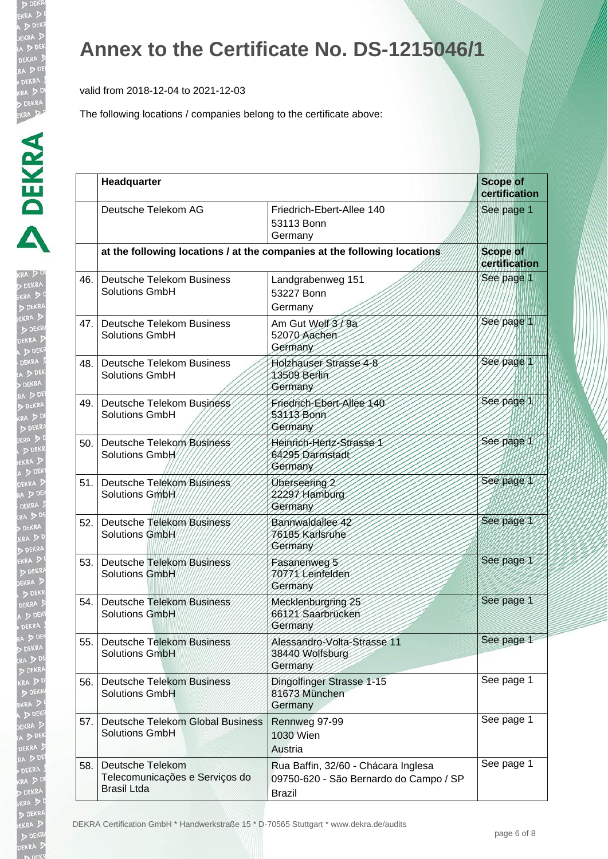valid from 2018-12-04 to 2021-12-03

The following locations / companies belong to the certificate above:

| KRA .<br>ĺ                                                                                                                                                                                                                          |
|-------------------------------------------------------------------------------------------------------------------------------------------------------------------------------------------------------------------------------------|
| j                                                                                                                                                                                                                                   |
|                                                                                                                                                                                                                                     |
|                                                                                                                                                                                                                                     |
|                                                                                                                                                                                                                                     |
|                                                                                                                                                                                                                                     |
|                                                                                                                                                                                                                                     |
| $\ddot{\phantom{a}}$                                                                                                                                                                                                                |
|                                                                                                                                                                                                                                     |
|                                                                                                                                                                                                                                     |
|                                                                                                                                                                                                                                     |
|                                                                                                                                                                                                                                     |
|                                                                                                                                                                                                                                     |
| $\frac{1}{2}$                                                                                                                                                                                                                       |
| R<br>D                                                                                                                                                                                                                              |
|                                                                                                                                                                                                                                     |
|                                                                                                                                                                                                                                     |
|                                                                                                                                                                                                                                     |
|                                                                                                                                                                                                                                     |
|                                                                                                                                                                                                                                     |
|                                                                                                                                                                                                                                     |
|                                                                                                                                                                                                                                     |
| i i de la construcción de la construcción de la construcción de la construcción de la construcción de la construcción de la construcción de la construcción de la construcción de la construcción de la construcción de la con      |
|                                                                                                                                                                                                                                     |
|                                                                                                                                                                                                                                     |
|                                                                                                                                                                                                                                     |
|                                                                                                                                                                                                                                     |
|                                                                                                                                                                                                                                     |
|                                                                                                                                                                                                                                     |
|                                                                                                                                                                                                                                     |
|                                                                                                                                                                                                                                     |
|                                                                                                                                                                                                                                     |
|                                                                                                                                                                                                                                     |
|                                                                                                                                                                                                                                     |
|                                                                                                                                                                                                                                     |
|                                                                                                                                                                                                                                     |
| $\ddot{\phantom{a}}$<br>$\mathbf{p}$                                                                                                                                                                                                |
| i                                                                                                                                                                                                                                   |
| į<br>I                                                                                                                                                                                                                              |
| ľ<br>j                                                                                                                                                                                                                              |
| $\cdot$<br>g                                                                                                                                                                                                                        |
| i de la construcción de la construcción de la construcción de la construcción de la construcción de la construcción de la construcción de la construcción de la construcción de la construcción de la construcción de la const<br>ų |
|                                                                                                                                                                                                                                     |
| フェーニ<br>l<br>t                                                                                                                                                                                                                      |
|                                                                                                                                                                                                                                     |
|                                                                                                                                                                                                                                     |
|                                                                                                                                                                                                                                     |
| k                                                                                                                                                                                                                                   |
|                                                                                                                                                                                                                                     |

|       | Headquarter                                                              |                                                                                                | <b>Scope of</b><br>certification |
|-------|--------------------------------------------------------------------------|------------------------------------------------------------------------------------------------|----------------------------------|
|       | Deutsche Telekom AG                                                      | Friedrich-Ebert-Allee 140<br>53113 Bonn<br>Germany                                             | See page 1                       |
|       |                                                                          | at the following locations / at the companies at the following locations                       | <b>Scope of</b><br>certification |
| 46.   | <b>Deutsche Telekom Business</b><br>Solutions GmbH                       | Landgrabenweg 151<br>53227 Bonn<br>Germany                                                     | See page 1                       |
| 47.1  | Deutsche Telekom Business<br><b>Solutions GmbH</b>                       | Am Gut Wolf 3/9a<br>52070 Aachen<br>Germany                                                    | See page 1                       |
| 48.   | <b>Deutsche Telekom Business</b><br><b>Solutions GmbH</b>                | Holzhauser Strasse 4-8<br>13509 Berlin<br>Germany                                              | See page 1                       |
|       | 49. Deutsche Telekom Business<br><b>Solutions GmbH</b>                   | Friedrich-Ebert-Allee 140<br>53113 Bonn<br>Germany                                             | See page 1                       |
| 50.1  | Deutsche Telekom Business<br>Solutions GmbH                              | Heinrich-Hertz-Strasse 1<br>64295 Darmstadt<br>Germany                                         | See page 1                       |
| 51.1  | Deutsche Telekom Business<br>Solutions GmbH                              | Uberseering 2<br>22297 Hamburg<br>Germany                                                      | See page 1                       |
| 52.   | Deutsche Telekom Business<br>Solutions GmbH                              | Bannwaldallee 42<br>76185 Karlsruhe<br>Germany                                                 | See page 1                       |
| 53. l | <b>Deutsche Telekom Business</b><br>Solutions GmbH                       | Fasanenweg 5<br>70771 Leinfelden<br>Germany                                                    | See page 1                       |
| 54.1  | <b>Deutsche Telekom Business</b><br>Solutions GmbH                       | Mecklenburgring 25<br>66121 Saarbrücken<br>Germany                                             | See page 1                       |
| 55.1  | <b>Deutsche Telekom Business</b><br><b>Solutions GmbH</b>                | Alessandro-Volta-Strasse 11<br>38440 Wolfsburg<br>Germany                                      | See page 1                       |
| 56.   | <b>Deutsche Telekom Business</b><br><b>Solutions GmbH</b>                | Dingolfinger Strasse 1-15<br>81673 München<br>Germany                                          | See page 1                       |
| 57.   | Deutsche Telekom Global Business<br><b>Solutions GmbH</b>                | Rennweg 97-99<br>1030 Wien<br>Austria                                                          | See page 1                       |
| 58.   | Deutsche Telekom<br>Telecomunicações e Serviços do<br><b>Brasil Ltda</b> | Rua Baffin, 32/60 - Chácara Inglesa<br>09750-620 - São Bernardo do Campo / SP<br><b>Brazil</b> | See page 1                       |

DEKRA Certification GmbH \* Handwerkstraße 15 \* D-70565 Stuttgart \* www.dekra.de/audits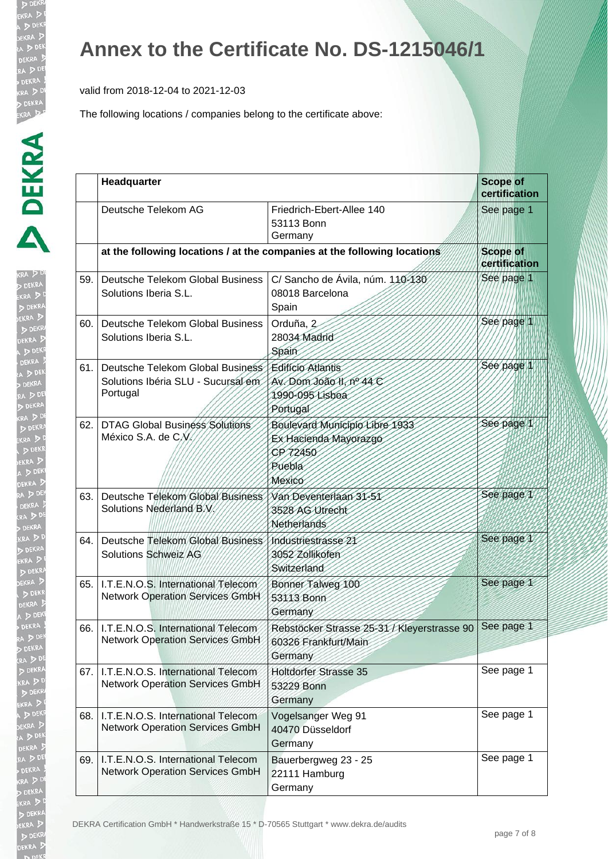valid from 2018-12-04 to 2021-12-03

| KRA<br>ŀ             |
|----------------------|
|                      |
|                      |
|                      |
|                      |
|                      |
|                      |
|                      |
|                      |
|                      |
|                      |
|                      |
| ļ                    |
|                      |
| a<br>20<br>21        |
| $\ddot{\phantom{a}}$ |
|                      |
|                      |
|                      |
|                      |
|                      |
|                      |
|                      |
|                      |
|                      |
|                      |
|                      |
|                      |
|                      |
|                      |
|                      |
|                      |
|                      |
|                      |
|                      |
|                      |
|                      |
| ļ                    |
| I<br>I               |
|                      |
|                      |
| ļ<br>ļ<br>I          |
| ļ                    |
|                      |
| l<br>ļ               |
|                      |
| ļ<br>j               |
|                      |
|                      |
|                      |

|     | Headquarter                                                                        |                                                                                         | <b>Scope of</b><br>certification |
|-----|------------------------------------------------------------------------------------|-----------------------------------------------------------------------------------------|----------------------------------|
|     | Deutsche Telekom AG                                                                | Friedrich-Ebert-Allee 140<br>53113 Bonn<br>Germany                                      | See page 1                       |
|     |                                                                                    | at the following locations / at the companies at the following locations                | <b>Scope of</b><br>certification |
| 59. | Deutsche Telekom Global Business<br>Solutions Iberia S.L.                          | C/ Sancho de Ávila, núm. 110-130<br>08018 Barcelona<br>Spain                            | See page 1                       |
| 60. | Deutsche Telekom Global Business<br>Solutions Iberia S.L.                          | Orduña, 2<br>28034 Madrid<br>Spain                                                      | See page 1                       |
| 61. | Deutsche Telekom Global Business<br>Solutions Ibéria SLU - Sucursal em<br>Portugal | <b>Editício Atlantis</b><br>Av. Dom João II, nº 44 C<br>1990-095 Lisboa<br>Portugal     | Sée page 1                       |
| 62. | DTAG Global Business Solutions<br>México S.A. de C.V.                              | Boulevard Municipio Libre 1933<br>Ex Hacienda Mayorazgo<br>CP 72450<br>Puebla<br>Mexico | See page 1                       |
| 63. | Deutsche Telekom Global Business<br>Solutions Nederland B.V.                       | Van Deventerlaan 31-51<br>3528 AG Utrecht<br><b>Netherlands</b>                         | See page 1                       |
| 64. | Deutsche Telekom Global Business<br><b>Solutions Schweiz AG</b>                    | Industriestrasse 21<br>3052 Zollikofen<br>Switzerland                                   | See page 1                       |
| 65. | I.T.E.N.O.S. International Telecom<br><b>Network Operation Services GmbH</b>       | Bonner Talweg 100<br>53113 Bonn<br>Germany                                              | See page 1                       |
|     | 66.   I.T.E.N.O.S. International Telecom<br><b>Network Operation Services GmbH</b> | Rebstöcker Strasse 25-31 / Kleyerstrasse 90<br>60326 Frankfurt/Main<br>Germany          | See page 1                       |
| 67. | I.T.E.N.O.S. International Telecom<br><b>Network Operation Services GmbH</b>       | <b>Holtdorfer Strasse 35</b><br>53229 Bonn<br>Germany                                   | See page 1                       |
| 68. | I.T.E.N.O.S. International Telecom<br><b>Network Operation Services GmbH</b>       | Vogelsanger Weg 91<br>40470 Düsseldorf<br>Germany                                       | See page 1                       |
| 69. | I.T.E.N.O.S. International Telecom<br><b>Network Operation Services GmbH</b>       | Bauerbergweg 23 - 25<br>22111 Hamburg<br>Germany                                        | See page 1                       |